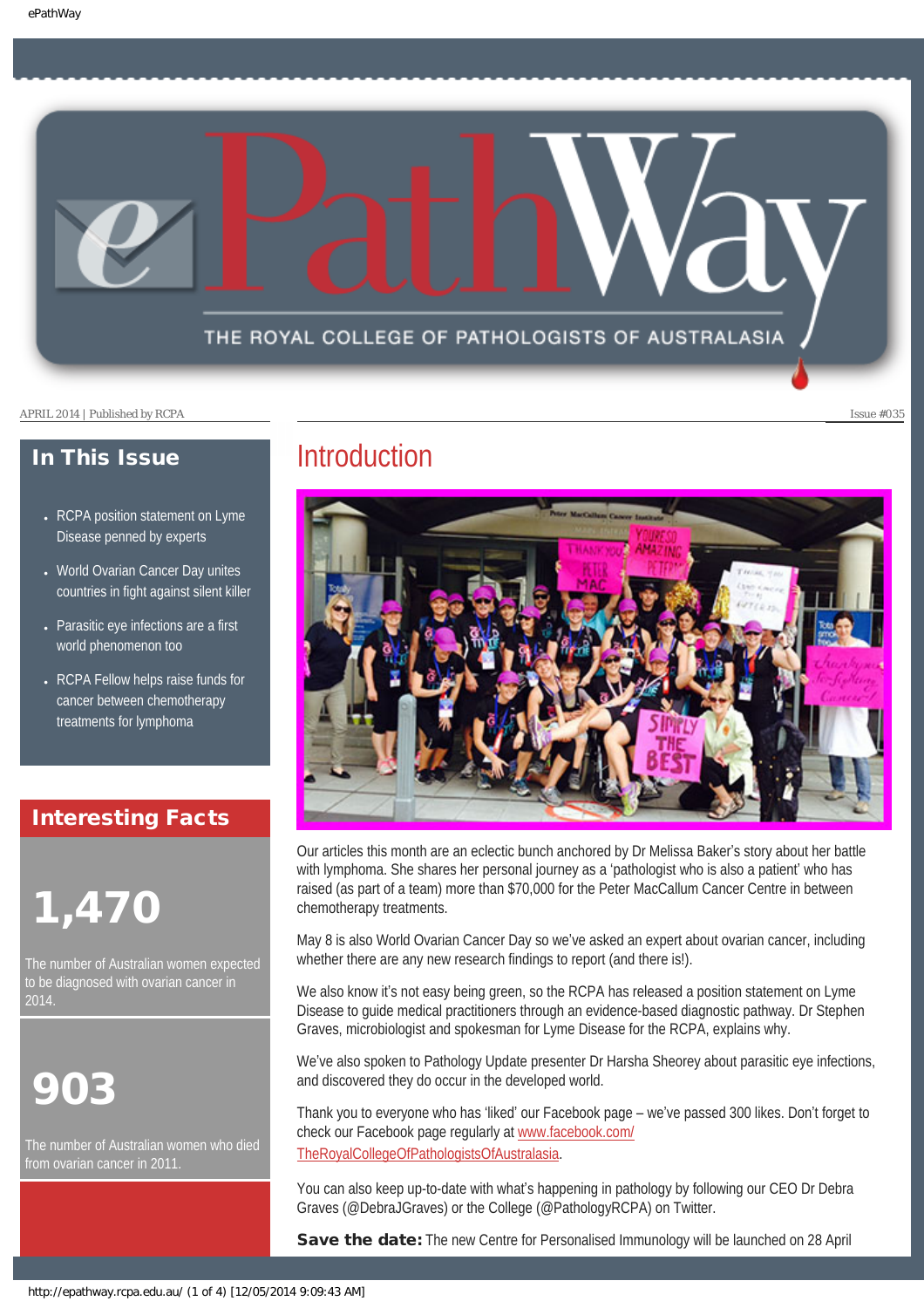THE ROYAL COLLEGE OF PATHOLOGISTS OF AUSTRALASIA

APRIL 2014 | Published by RCPA Issue #035

### In This Issue

- RCPA position statement on Lyme Disease penned by experts
- World Ovarian Cancer Day unites countries in fight against silent killer
- Parasitic eye infections are a first world phenomenon too
- RCPA Fellow helps raise funds for cancer between chemotherapy treatments for lymphoma

### Interesting Facts

# 1,470

The number of Australian women expected to be diagnosed with ovarian cancer in 2014.

# 903

The number of Australian women who died from ovarian cancer in 2011.

### **Introduction**



Our articles this month are an eclectic bunch anchored by Dr Melissa Baker's story about her battle with lymphoma. She shares her personal journey as a 'pathologist who is also a patient' who has raised (as part of a team) more than \$70,000 for the Peter MacCallum Cancer Centre in between chemotherapy treatments.

May 8 is also World Ovarian Cancer Day so we've asked an expert about ovarian cancer, including whether there are any new research findings to report (and there is!).

We also know it's not easy being green, so the RCPA has released a position statement on Lyme Disease to guide medical practitioners through an evidence-based diagnostic pathway. Dr Stephen Graves, microbiologist and spokesman for Lyme Disease for the RCPA, explains why.

We've also spoken to Pathology Update presenter Dr Harsha Sheorey about parasitic eye infections, and discovered they do occur in the developed world.

Thank you to everyone who has 'liked' our Facebook page – we've passed 300 likes. Don't forget to check our Facebook page regularly at [www.facebook.com/](http://www.facebook.com/TheRoyalCollegeOfPathologistsOfAustralasia) [TheRoyalCollegeOfPathologistsOfAustralasia](http://www.facebook.com/TheRoyalCollegeOfPathologistsOfAustralasia).

You can also keep up-to-date with what's happening in pathology by following our CEO Dr Debra Graves (@DebraJGraves) or the College (@PathologyRCPA) on Twitter.

Save the date: The new Centre for Personalised Immunology will be launched on 28 April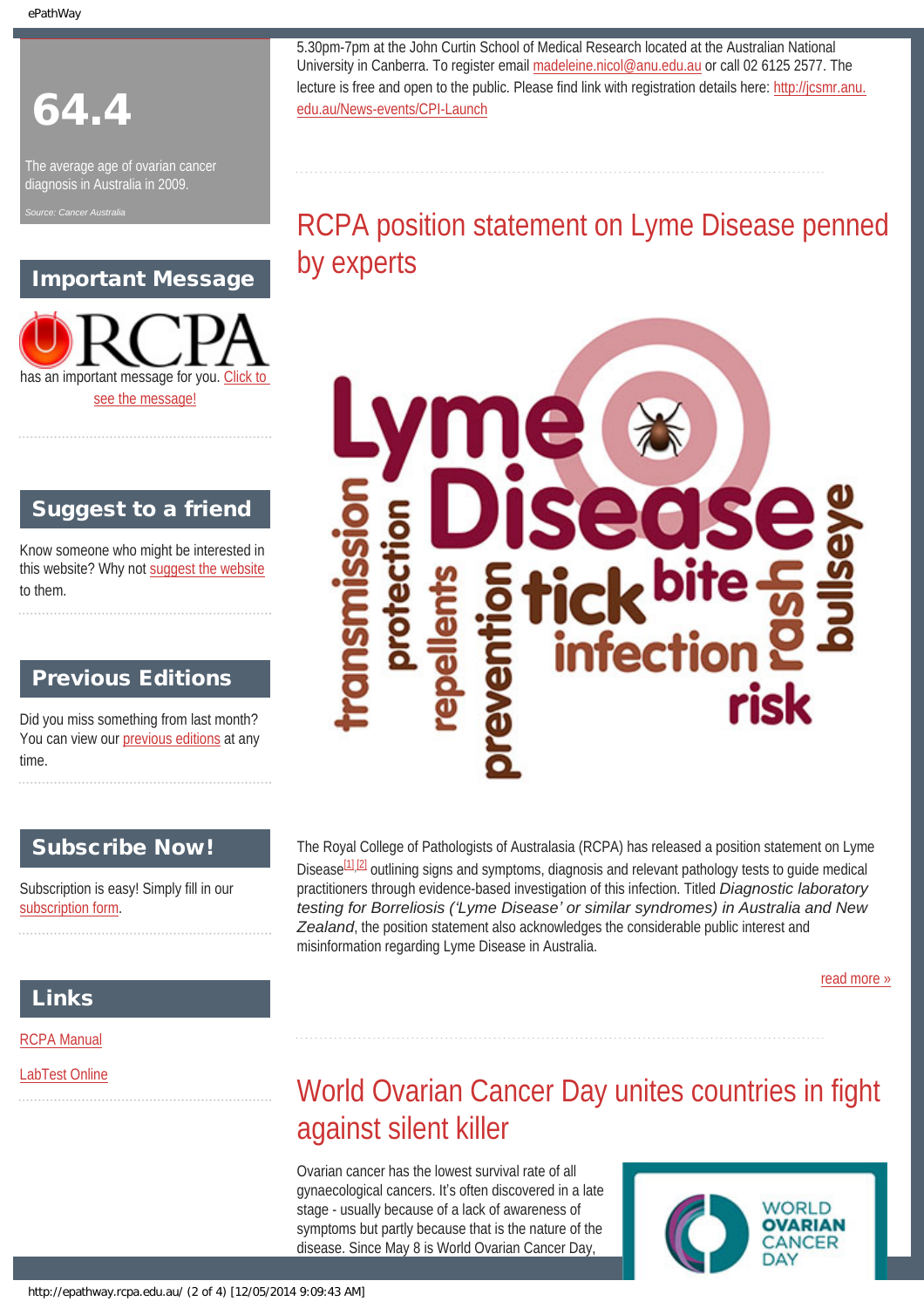ePathWay

# 64.4

The average age of ovarian cancer diagnosis in Australia in 2009.

### Important Message



### Suggest to a friend

Know someone who might be interested in this website? Why not [suggest the website](mailto:?Subject=I%20think%20you%20should%20read%20this%20Newsletter=
http://epathway.rcpa.edu.au/index.html) to them.

### **Previous Editions**

Did you miss something from last month? You can view our [previous editions](#page-4-0) at any time.

### Subscribe Now!

Subscription is easy! Simply fill in our [subscription form](http://epathway.rcpa.edu.au/subscription.html).

The Royal College of Pathologists of Australasia (RCPA) has released a position statement on Lyme Disease<sup>[1],[\[2\]](#page-7-1)</sup> outlining signs and symptoms, diagnosis and relevant pathology tests to guide medical practitioners through evidence-based investigation of this infection. Titled *Diagnostic laboratory testing for Borreliosis ('Lyme Disease' or similar syndromes) in Australia and New Zealand*, the position statement also acknowledges the considerable public interest and misinformation regarding Lyme Disease in Australia.

[read more »](#page-6-0)

### Links

### [RCPA Manual](http://rcpamanual.edu.au/)

[LabTest Online](http://www.labtestsonline.org.au/)

# World Ovarian Cancer Day unites countries in fight against silent killer

Ovarian cancer has the lowest survival rate of all gynaecological cancers. It's often discovered in a late stage - usually because of a lack of awareness of symptoms but partly because that is the nature of the disease. Since May 8 is World Ovarian Cancer Day,



5.30pm-7pm at the John Curtin School of Medical Research located at the Australian National University in Canberra. To register email [madeleine.nicol@anu.edu.au](mailto:madeleine.nicol@anu.edu.au) or call 02 6125 2577. The lecture is free and open to the public. Please find link with registration details here: [http://jcsmr.anu.](http://jcsmr.anu.edu.au/News-events/CPI-Launch) [edu.au/News-events/CPI-Launch](http://jcsmr.anu.edu.au/News-events/CPI-Launch)

# RCPA position statement on Lyme Disease penned by experts

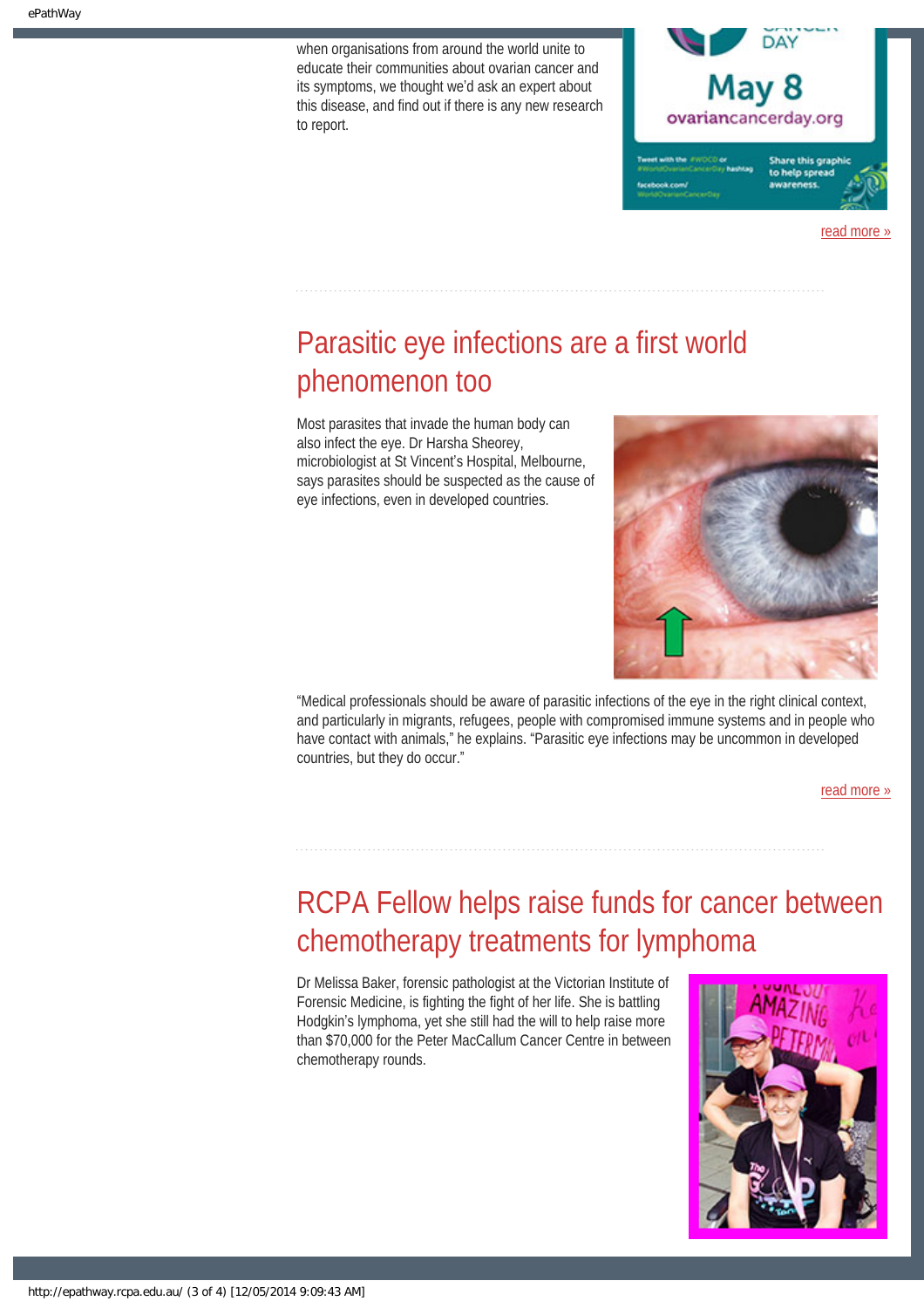when organisations from around the world unite to educate their communities about ovarian cancer and its symptoms, we thought we'd ask an expert about this disease, and find out if there is any new research to report.



read more

# Parasitic eye infections are a first world phenomenon too

Most parasites that invade the human body can also infect the eye. Dr Harsha Sheorey, microbiologist at St Vincent's Hospital, Melbourne, says parasites should be suspected as the cause of eye infections, even in developed countries.



"Medical professionals should be aware of parasitic infections of the eye in the right clinical context, and particularly in migrants, refugees, people with compromised immune systems and in people who have contact with animals," he explains. "Parasitic eye infections may be uncommon in developed countries, but they do occur."

[read more »](#page-10-0)

# RCPA Fellow helps raise funds for cancer between chemotherapy treatments for lymphoma

Dr Melissa Baker, forensic pathologist at the Victorian Institute of Forensic Medicine, is fighting the fight of her life. She is battling Hodgkin's lymphoma, yet she still had the will to help raise more than \$70,000 for the Peter MacCallum Cancer Centre in between chemotherapy rounds.

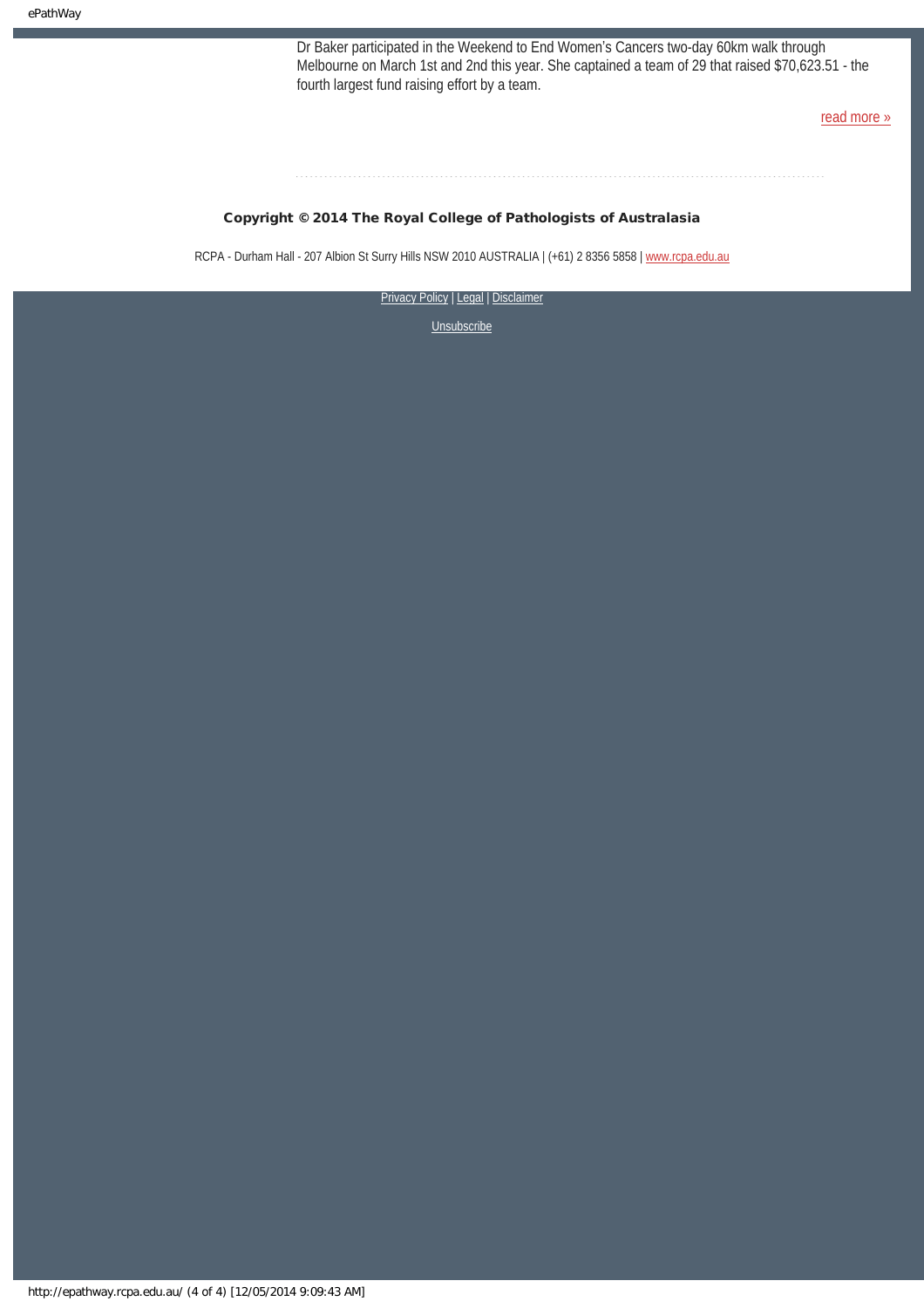Dr Baker participated in the Weekend to End Women's Cancers two-day 60km walk through Melbourne on March 1st and 2nd this year. She captained a team of 29 that raised \$70,623.51 - the fourth largest fund raising effort by a team.

[read more »](#page-12-0)

#### Copyright © 2014 The Royal College of Pathologists of Australasia

RCPA - Durham Hall - 207 Albion St Surry Hills NSW 2010 AUSTRALIA | (+61) 2 8356 5858 | [www.rcpa.edu.au](http://www.rcpa.edu.au/)

[Privacy Policy](http://www.rcpa.edu.au/Content-Library/Privacy.aspx) | [Legal](http://www.rcpa.edu.au/Legal.aspx) | Disclaimer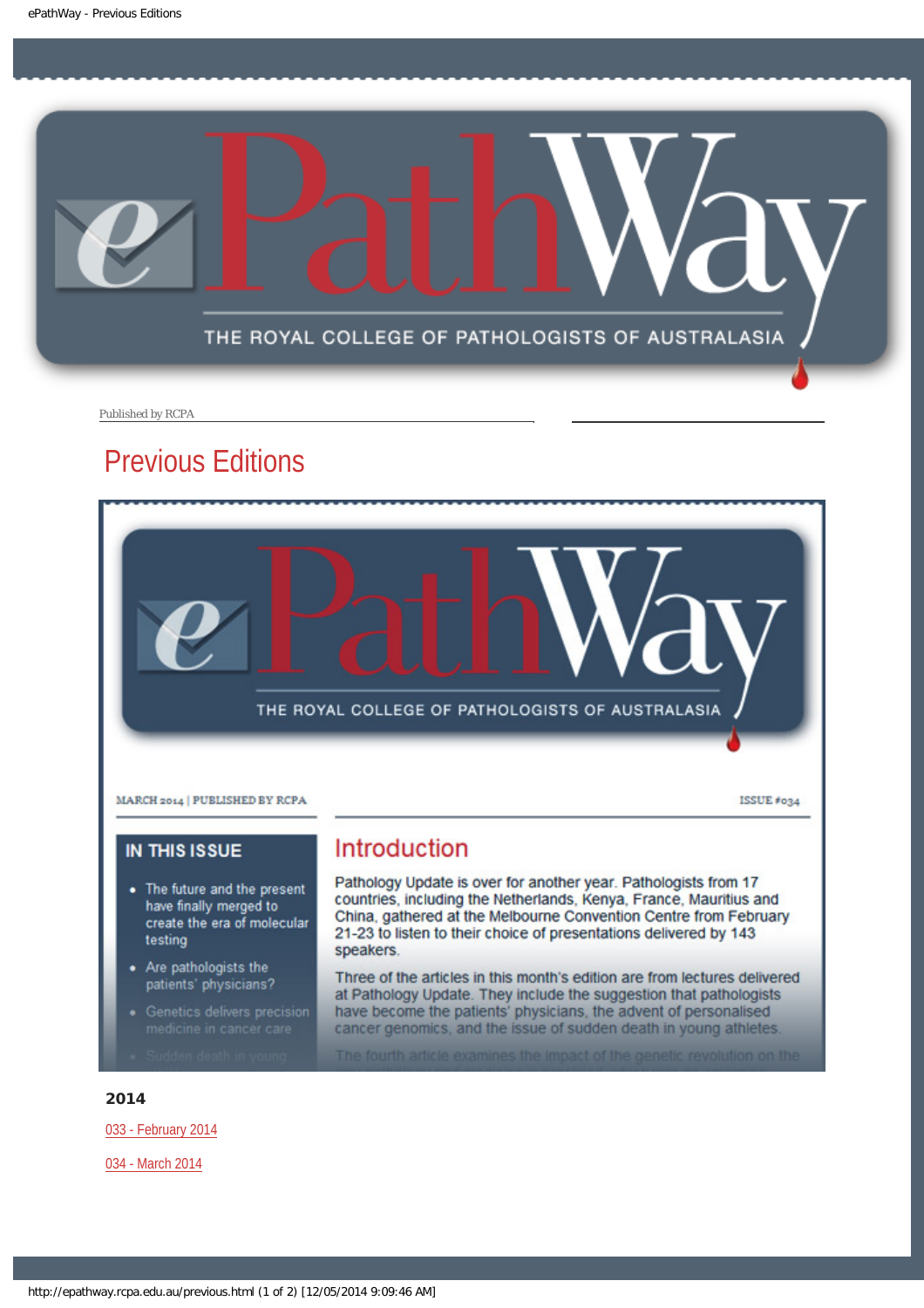<span id="page-4-0"></span>

Published by RCPA

## Previous Editions



### **IN THIS ISSUE**

- The future and the present have finally merged to create the era of molecular testing
- Are pathologists the patients' physicians?
- 
- 

### Introduction

Pathology Update is over for another year. Pathologists from 17 countries, including the Netherlands, Kenya, France, Mauritius and China, gathered at the Melbourne Convention Centre from February 21-23 to listen to their choice of presentations delivered by 143 speakers.

Three of the articles in this month's edition are from lectures delivered at Pathology Update. They include the suggestion that pathologists have become the patients' physicians, the advent of personalised cancer genomics, and the issue of sudden death in young athletes.

The fourth article examines the impact of the genetic revolution on the

#### 2014

[033 - February 2014](http://epathway.rcpa.edu.au/previous/033_0214.pdf)

[034 - March 2014](http://epathway.rcpa.edu.au/previous/034_0314.pdf)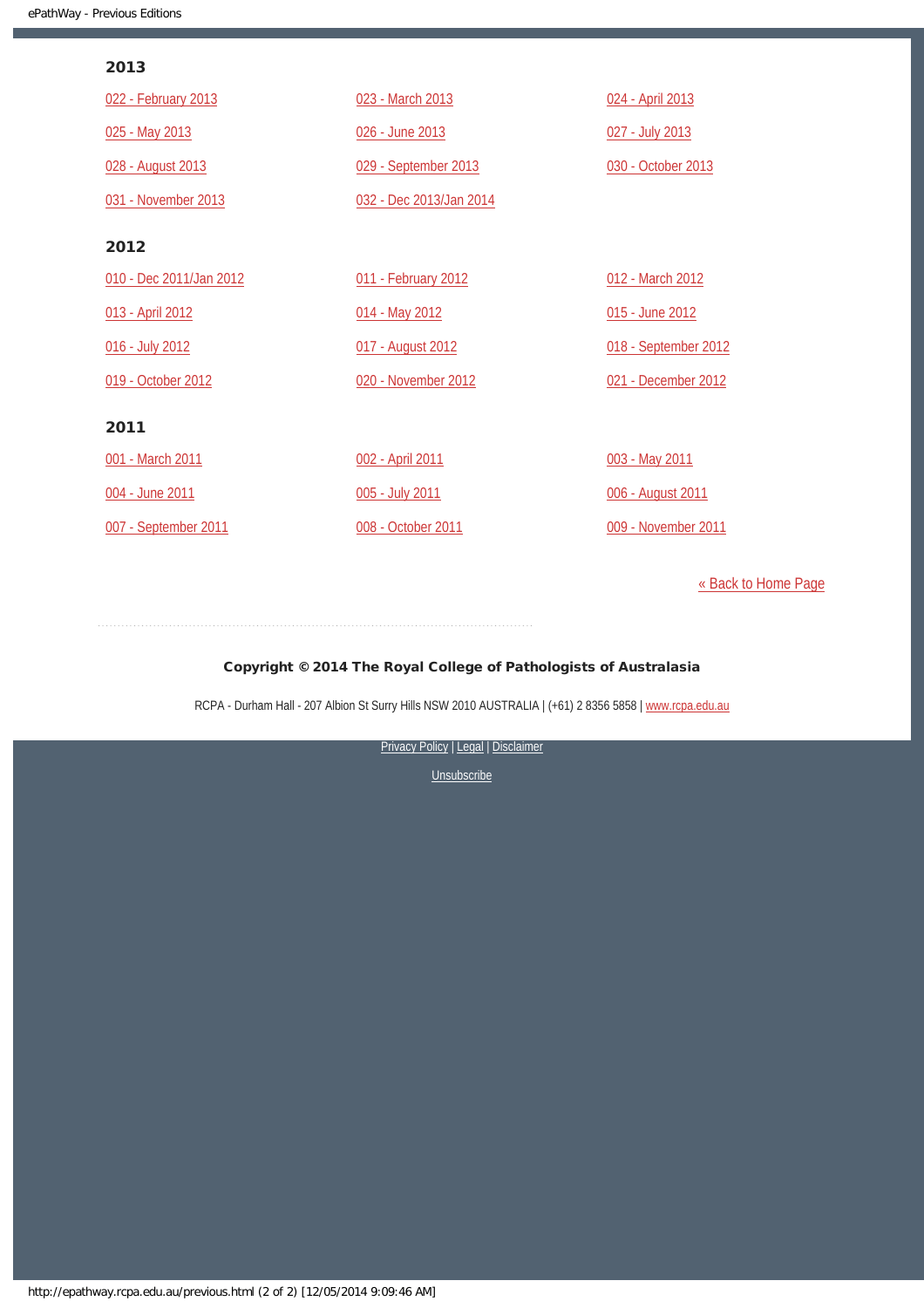### 2013

| 022 - February 2013     | 023 - March 2013        | 024 - April 2013     |
|-------------------------|-------------------------|----------------------|
| 025 - May 2013          | 026 - June 2013         | 027 - July 2013      |
| 028 - August 2013       | 029 - September 2013    | 030 - October 2013   |
| 031 - November 2013     | 032 - Dec 2013/Jan 2014 |                      |
| 2012                    |                         |                      |
| 010 - Dec 2011/Jan 2012 | 011 - February 2012     | 012 - March 2012     |
| 013 - April 2012        | 014 - May 2012          | 015 - June 2012      |
| 016 - July 2012         | 017 - August 2012       | 018 - September 2012 |
| 019 - October 2012      | 020 - November 2012     | 021 - December 2012  |
| 2011                    |                         |                      |
| 001 - March 2011        | 002 - April 2011        | 003 - May 2011       |
| 004 - June 2011         | 005 - July 2011         | 006 - August 2011    |
| 007 - September 2011    | 008 - October 2011      | 009 - November 2011  |

[« Back to Home Page](http://epathway.rcpa.edu.au/index.html)

#### Copyright © 2014 The Royal College of Pathologists of Australasia

RCPA - Durham Hall - 207 Albion St Surry Hills NSW 2010 AUSTRALIA | (+61) 2 8356 5858 | [www.rcpa.edu.au](http://www.rcpa.edu.au/)

[Privacy Policy](http://www.rcpa.edu.au/Content-Library/Privacy.aspx) | [Legal](http://www.rcpa.edu.au/Legal.aspx) | Disclaimer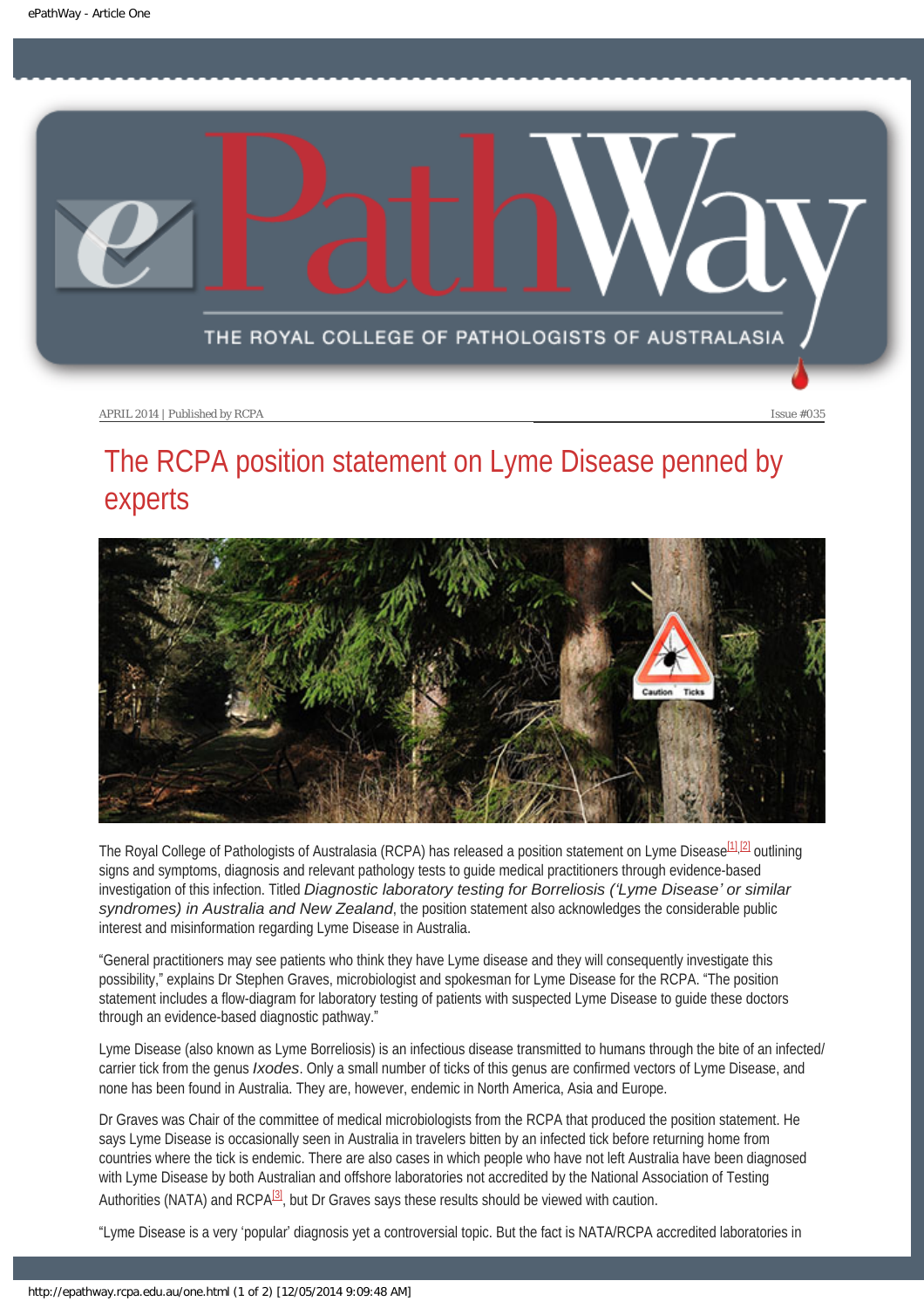<span id="page-6-0"></span>

# The RCPA position statement on Lyme Disease penned by experts



<span id="page-6-1"></span>The Royal College of Pathologists of Australasia (RCPA) has released a position statement on Lyme Disease<sup>[\[1\],](#page-7-0)[\[2\]](#page-7-1)</sup> outlining signs and symptoms, diagnosis and relevant pathology tests to guide medical practitioners through evidence-based investigation of this infection. Titled *Diagnostic laboratory testing for Borreliosis ('Lyme Disease' or similar syndromes) in Australia and New Zealand*, the position statement also acknowledges the considerable public interest and misinformation regarding Lyme Disease in Australia.

"General practitioners may see patients who think they have Lyme disease and they will consequently investigate this possibility," explains Dr Stephen Graves, microbiologist and spokesman for Lyme Disease for the RCPA. "The position statement includes a flow-diagram for laboratory testing of patients with suspected Lyme Disease to guide these doctors through an evidence-based diagnostic pathway."

Lyme Disease (also known as Lyme Borreliosis) is an infectious disease transmitted to humans through the bite of an infected/ carrier tick from the genus *Ixodes*. Only a small number of ticks of this genus are confirmed vectors of Lyme Disease, and none has been found in Australia. They are, however, endemic in North America, Asia and Europe.

Dr Graves was Chair of the committee of medical microbiologists from the RCPA that produced the position statement. He says Lyme Disease is occasionally seen in Australia in travelers bitten by an infected tick before returning home from countries where the tick is endemic. There are also cases in which people who have not left Australia have been diagnosed with Lyme Disease by both Australian and offshore laboratories not accredited by the National Association of Testing Authorities (NATA) and  $RCPA^{[3]}$ , but Dr Graves says these results should be viewed with caution.

<span id="page-6-2"></span>"Lyme Disease is a very 'popular' diagnosis yet a controversial topic. But the fact is NATA/RCPA accredited laboratories in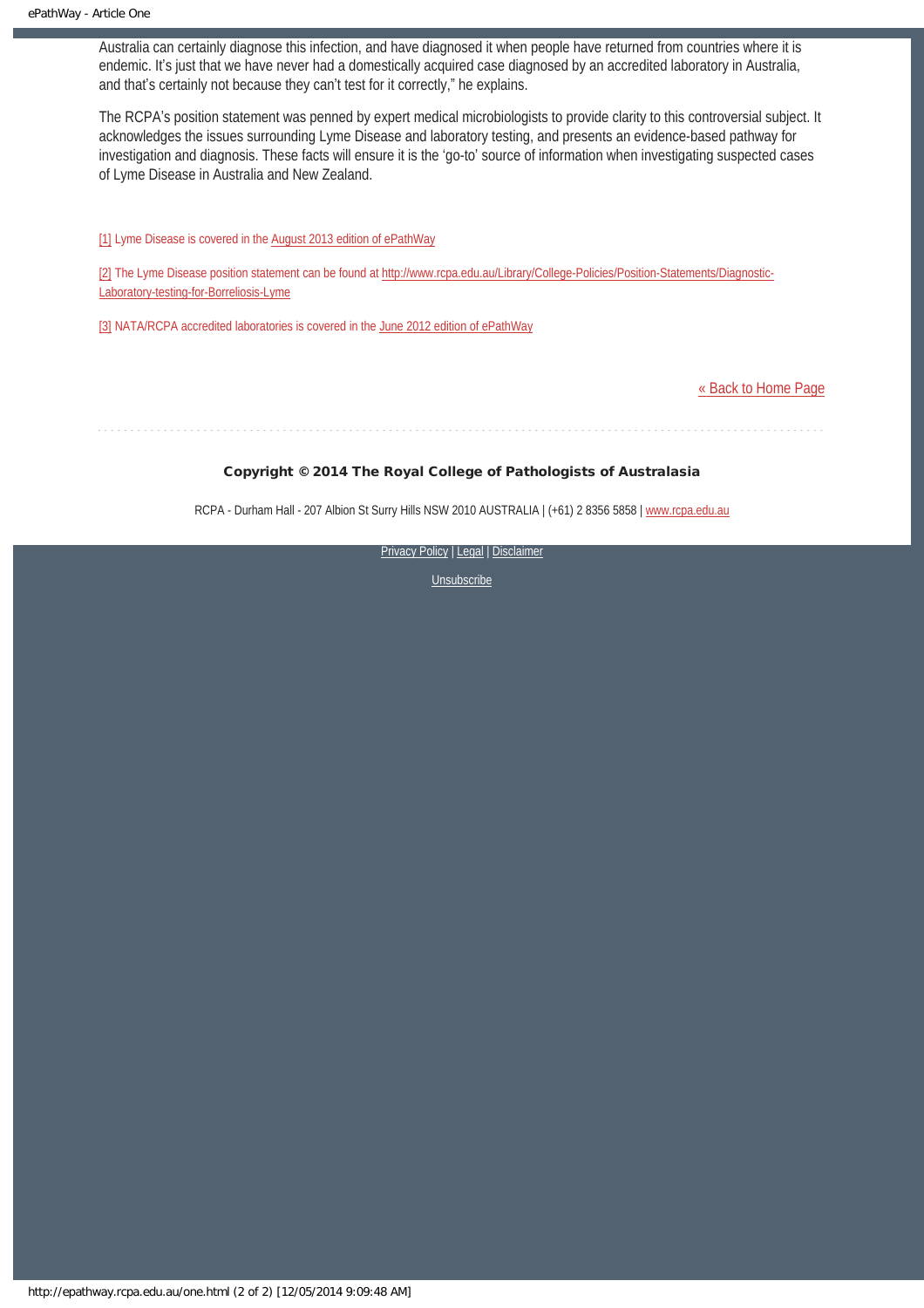Australia can certainly diagnose this infection, and have diagnosed it when people have returned from countries where it is endemic. It's just that we have never had a domestically acquired case diagnosed by an accredited laboratory in Australia, and that's certainly not because they can't test for it correctly," he explains.

The RCPA's position statement was penned by expert medical microbiologists to provide clarity to this controversial subject. It acknowledges the issues surrounding Lyme Disease and laboratory testing, and presents an evidence-based pathway for investigation and diagnosis. These facts will ensure it is the 'go-to' source of information when investigating suspected cases of Lyme Disease in Australia and New Zealand.

<span id="page-7-0"></span>[\[1\]](#page-6-1) Lyme Disease is covered in the [August 2013 edition of ePathWay](http://www.rcpa.edu.au/getattachment/31acfb85-9f32-4d6f-8397-4b38825f8e4a/ePathway-Issue-028.aspx)

<span id="page-7-1"></span>[\[2\]](#page-6-1) The Lyme Disease position statement can be found at [http://www.rcpa.edu.au/Library/College-Policies/Position-Statements/Diagnostic-](http://www.rcpa.edu.au/Library/College-Policies/Position-Statements/Diagnostic-Laboratory-testing-for-Borreliosis-Lyme)[Laboratory-testing-for-Borreliosis-Lyme](http://www.rcpa.edu.au/Library/College-Policies/Position-Statements/Diagnostic-Laboratory-testing-for-Borreliosis-Lyme)

<span id="page-7-2"></span>[\[3\]](#page-6-2) NATA/RCPA accredited laboratories is covered in the [June 2012 edition of ePathWay](http://www.rcpa.edu.au/getattachment/a79a4e4a-3bc9-4268-a9a7-d8e1b033bf53/ePathway-Issue-015.aspx)

[« Back to Home Page](http://epathway.rcpa.edu.au/index.html)

Copyright © 2014 The Royal College of Pathologists of Australasia

RCPA - Durham Hall - 207 Albion St Surry Hills NSW 2010 AUSTRALIA | (+61) 2 8356 5858 | [www.rcpa.edu.au](http://www.rcpa.edu.au/)

[Privacy Policy](http://www.rcpa.edu.au/Content-Library/Privacy.aspx) | [Legal](http://www.rcpa.edu.au/Legal.aspx) | Disclaimer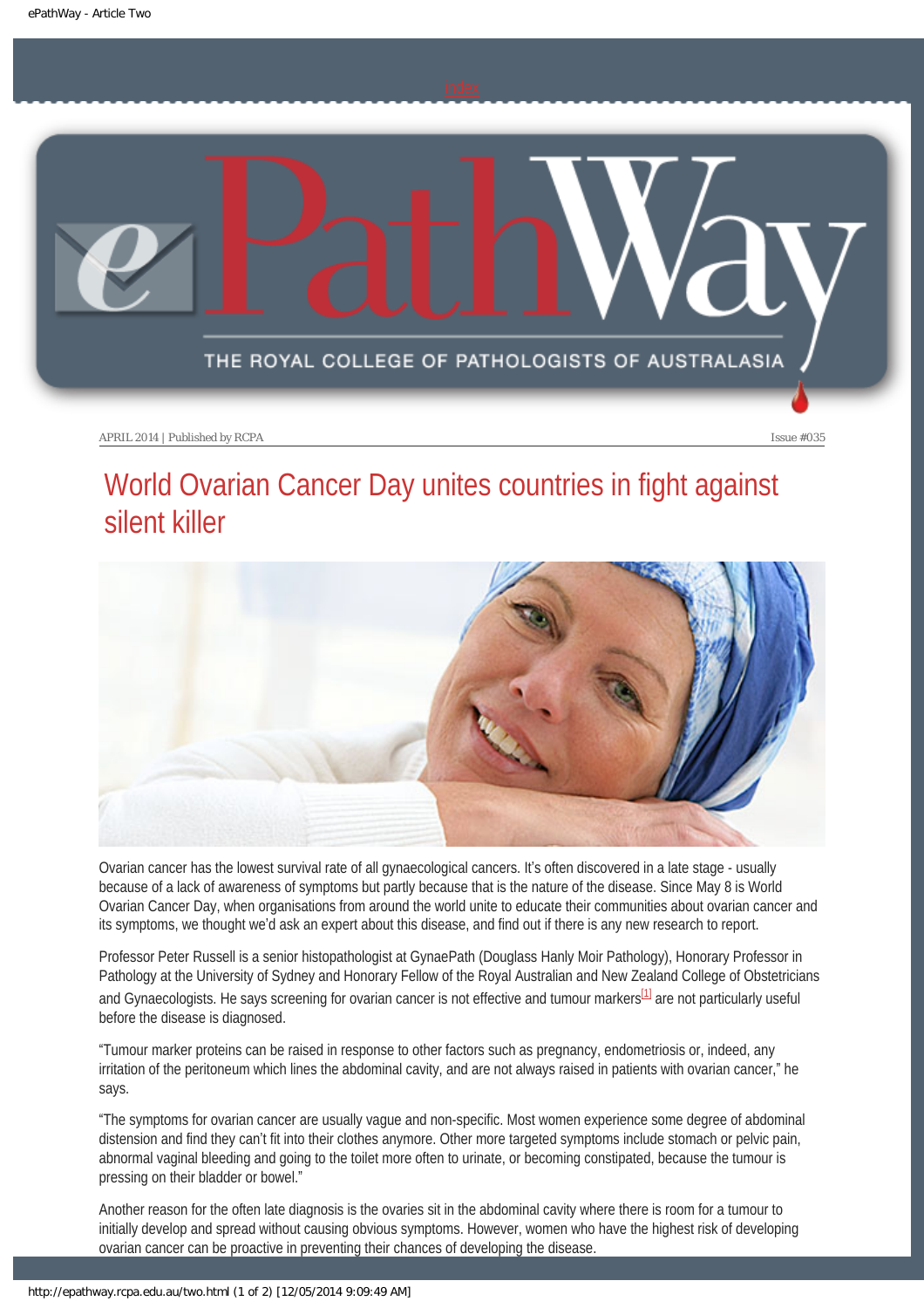<span id="page-8-0"></span>

## World Ovarian Cancer Day unites countries in fight against silent killer



Ovarian cancer has the lowest survival rate of all gynaecological cancers. It's often discovered in a late stage - usually because of a lack of awareness of symptoms but partly because that is the nature of the disease. Since May 8 is World Ovarian Cancer Day, when organisations from around the world unite to educate their communities about ovarian cancer and its symptoms, we thought we'd ask an expert about this disease, and find out if there is any new research to report.

Professor Peter Russell is a senior histopathologist at GynaePath (Douglass Hanly Moir Pathology), Honorary Professor in Pathology at the University of Sydney and Honorary Fellow of the Royal Australian and New Zealand College of Obstetricians and Gynaecologists. He says screening for ovarian cancer is not effective and tumour markers<sup>[1]</sup> are not particularly useful before the disease is diagnosed.

<span id="page-8-1"></span>"Tumour marker proteins can be raised in response to other factors such as pregnancy, endometriosis or, indeed, any irritation of the peritoneum which lines the abdominal cavity, and are not always raised in patients with ovarian cancer," he says.

"The symptoms for ovarian cancer are usually vague and non-specific. Most women experience some degree of abdominal distension and find they can't fit into their clothes anymore. Other more targeted symptoms include stomach or pelvic pain, abnormal vaginal bleeding and going to the toilet more often to urinate, or becoming constipated, because the tumour is pressing on their bladder or bowel."

Another reason for the often late diagnosis is the ovaries sit in the abdominal cavity where there is room for a tumour to initially develop and spread without causing obvious symptoms. However, women who have the highest risk of developing ovarian cancer can be proactive in preventing their chances of developing the disease.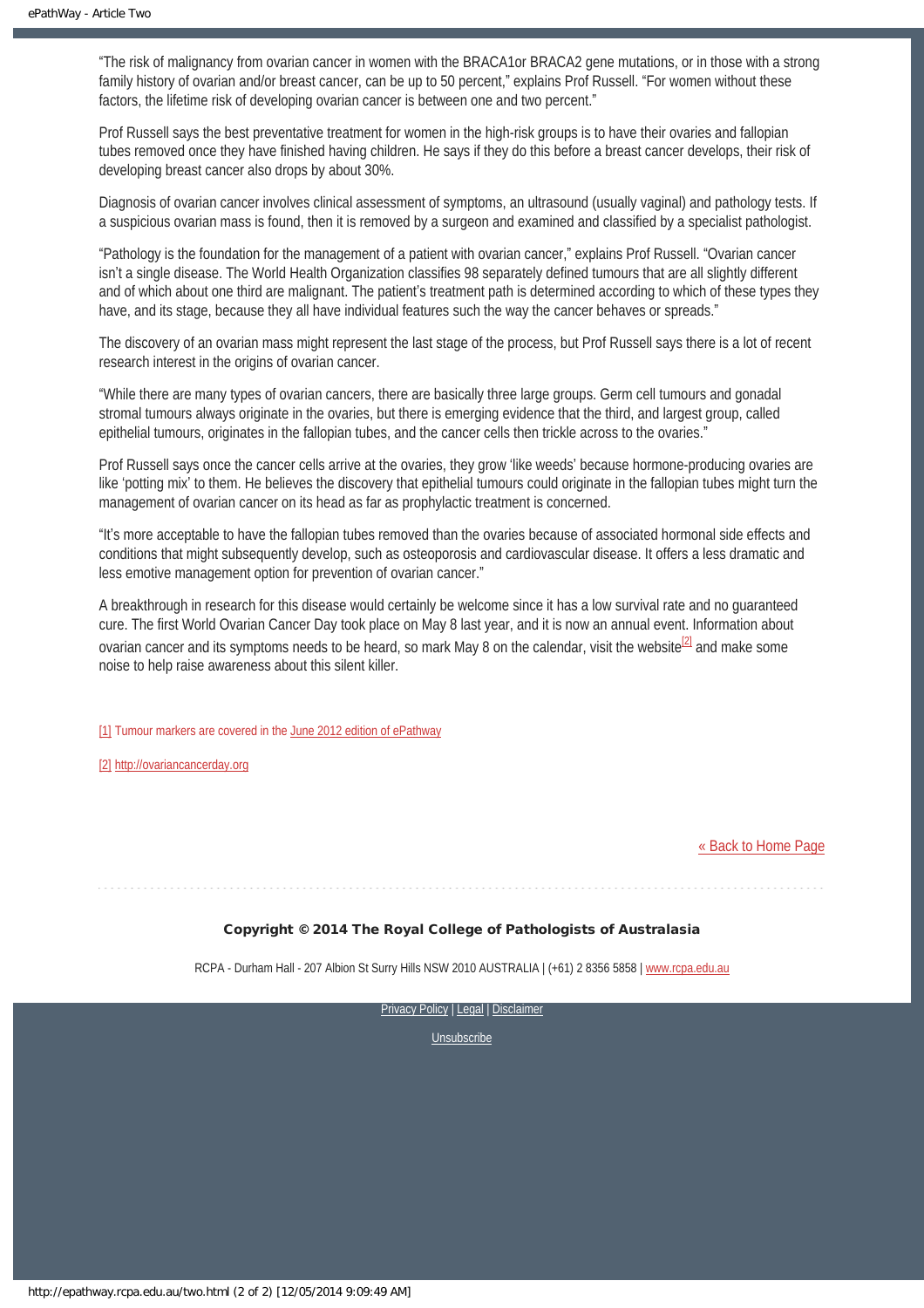"The risk of malignancy from ovarian cancer in women with the BRACA1or BRACA2 gene mutations, or in those with a strong family history of ovarian and/or breast cancer, can be up to 50 percent," explains Prof Russell. "For women without these factors, the lifetime risk of developing ovarian cancer is between one and two percent."

Prof Russell says the best preventative treatment for women in the high-risk groups is to have their ovaries and fallopian tubes removed once they have finished having children. He says if they do this before a breast cancer develops, their risk of developing breast cancer also drops by about 30%.

Diagnosis of ovarian cancer involves clinical assessment of symptoms, an ultrasound (usually vaginal) and pathology tests. If a suspicious ovarian mass is found, then it is removed by a surgeon and examined and classified by a specialist pathologist.

"Pathology is the foundation for the management of a patient with ovarian cancer," explains Prof Russell. "Ovarian cancer isn't a single disease. The World Health Organization classifies 98 separately defined tumours that are all slightly different and of which about one third are malignant. The patient's treatment path is determined according to which of these types they have, and its stage, because they all have individual features such the way the cancer behaves or spreads."

The discovery of an ovarian mass might represent the last stage of the process, but Prof Russell says there is a lot of recent research interest in the origins of ovarian cancer.

"While there are many types of ovarian cancers, there are basically three large groups. Germ cell tumours and gonadal stromal tumours always originate in the ovaries, but there is emerging evidence that the third, and largest group, called epithelial tumours, originates in the fallopian tubes, and the cancer cells then trickle across to the ovaries."

Prof Russell says once the cancer cells arrive at the ovaries, they grow 'like weeds' because hormone-producing ovaries are like 'potting mix' to them. He believes the discovery that epithelial tumours could originate in the fallopian tubes might turn the management of ovarian cancer on its head as far as prophylactic treatment is concerned.

"It's more acceptable to have the fallopian tubes removed than the ovaries because of associated hormonal side effects and conditions that might subsequently develop, such as osteoporosis and cardiovascular disease. It offers a less dramatic and less emotive management option for prevention of ovarian cancer."

<span id="page-9-2"></span>A breakthrough in research for this disease would certainly be welcome since it has a low survival rate and no guaranteed cure. The first World Ovarian Cancer Day took place on May 8 last year, and it is now an annual event. Information about ovarian cancer and its symptoms needs to be heard, so mark May 8 on the calendar, visit the website<sup>[2]</sup> and make some noise to help raise awareness about this silent killer.

<span id="page-9-0"></span>[\[1\]](#page-8-1) Tumour markers are covered in the [June 2012 edition of ePathway](http://www.rcpa.edu.au/getattachment/a79a4e4a-3bc9-4268-a9a7-d8e1b033bf53/ePathway-Issue-015.aspx)

<span id="page-9-1"></span>[\[2\]](#page-9-2) [http://ovariancancerday.org](http://ovariancancerday.org/)

[« Back to Home Page](http://epathway.rcpa.edu.au/index.html)

Copyright © 2014 The Royal College of Pathologists of Australasia

RCPA - Durham Hall - 207 Albion St Surry Hills NSW 2010 AUSTRALIA | (+61) 2 8356 5858 | [www.rcpa.edu.au](http://www.rcpa.edu.au/)

[Privacy Policy](http://www.rcpa.edu.au/Content-Library/Privacy.aspx) | [Legal](http://www.rcpa.edu.au/Legal.aspx) | Disclaimer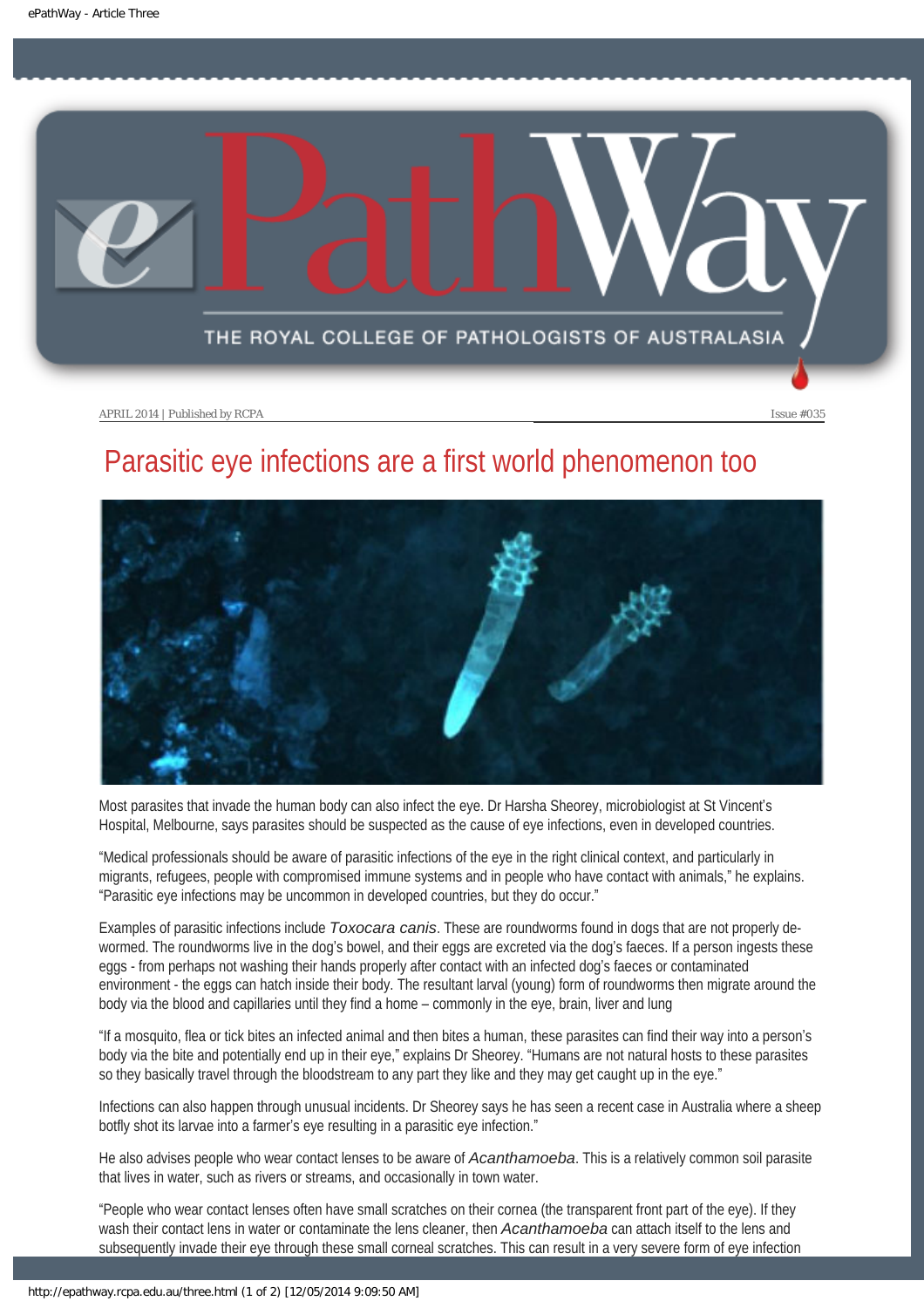<span id="page-10-0"></span>

# Parasitic eye infections are a first world phenomenon too



Most parasites that invade the human body can also infect the eye. Dr Harsha Sheorey, microbiologist at St Vincent's Hospital, Melbourne, says parasites should be suspected as the cause of eye infections, even in developed countries.

"Medical professionals should be aware of parasitic infections of the eye in the right clinical context, and particularly in migrants, refugees, people with compromised immune systems and in people who have contact with animals," he explains. "Parasitic eye infections may be uncommon in developed countries, but they do occur."

Examples of parasitic infections include *Toxocara canis*. These are roundworms found in dogs that are not properly dewormed. The roundworms live in the dog's bowel, and their eggs are excreted via the dog's faeces. If a person ingests these eggs - from perhaps not washing their hands properly after contact with an infected dog's faeces or contaminated environment - the eggs can hatch inside their body. The resultant larval (young) form of roundworms then migrate around the body via the blood and capillaries until they find a home – commonly in the eye, brain, liver and lung

"If a mosquito, flea or tick bites an infected animal and then bites a human, these parasites can find their way into a person's body via the bite and potentially end up in their eye," explains Dr Sheorey. "Humans are not natural hosts to these parasites so they basically travel through the bloodstream to any part they like and they may get caught up in the eye."

Infections can also happen through unusual incidents. Dr Sheorey says he has seen a recent case in Australia where a sheep botfly shot its larvae into a farmer's eye resulting in a parasitic eye infection."

He also advises people who wear contact lenses to be aware of *Acanthamoeba*. This is a relatively common soil parasite that lives in water, such as rivers or streams, and occasionally in town water.

"People who wear contact lenses often have small scratches on their cornea (the transparent front part of the eye). If they wash their contact lens in water or contaminate the lens cleaner, then *Acanthamoeba* can attach itself to the lens and subsequently invade their eye through these small corneal scratches. This can result in a very severe form of eye infection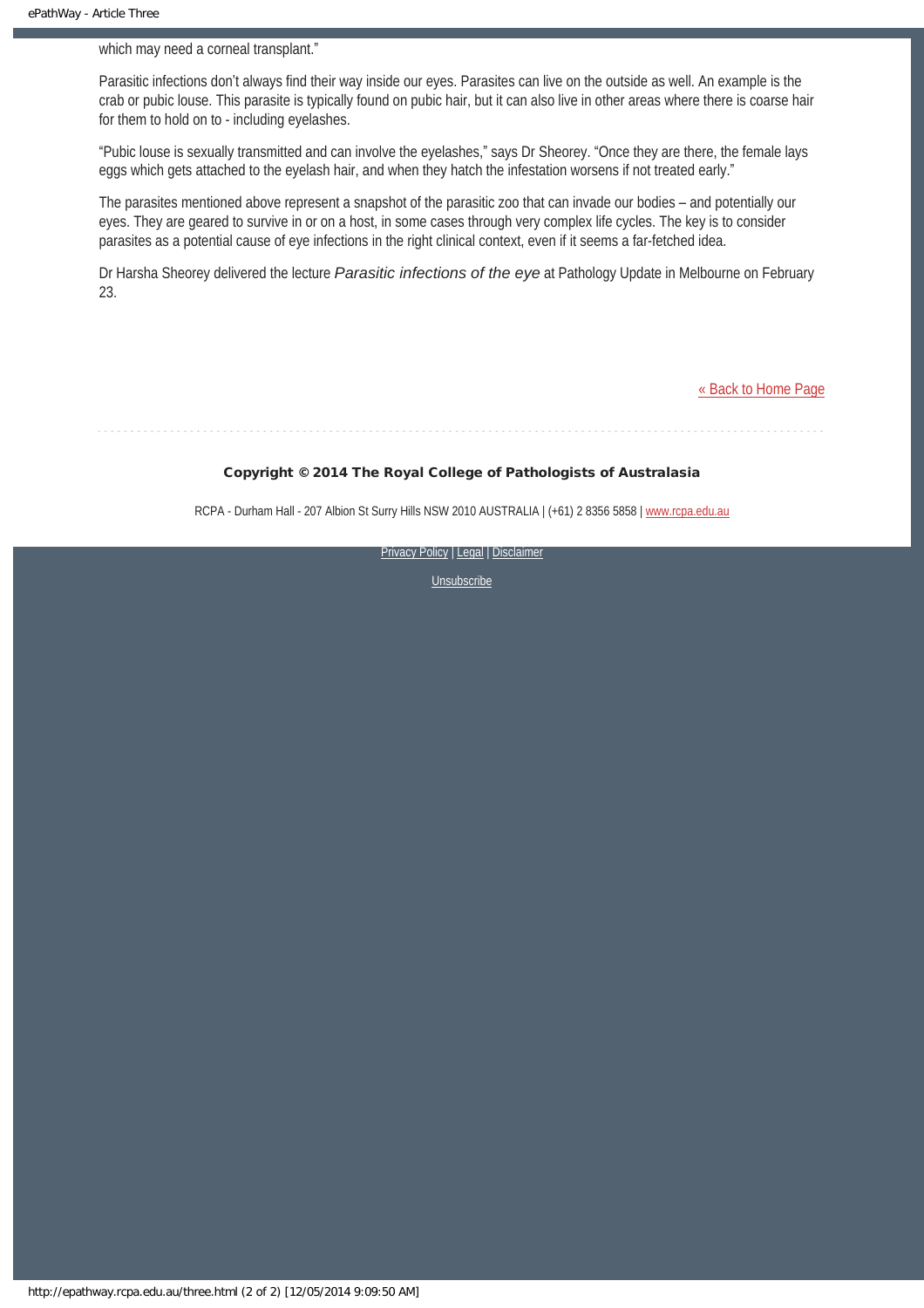which may need a corneal transplant."

Parasitic infections don't always find their way inside our eyes. Parasites can live on the outside as well. An example is the crab or pubic louse. This parasite is typically found on pubic hair, but it can also live in other areas where there is coarse hair for them to hold on to - including eyelashes.

"Pubic louse is sexually transmitted and can involve the eyelashes," says Dr Sheorey. "Once they are there, the female lays eggs which gets attached to the eyelash hair, and when they hatch the infestation worsens if not treated early."

The parasites mentioned above represent a snapshot of the parasitic zoo that can invade our bodies – and potentially our eyes. They are geared to survive in or on a host, in some cases through very complex life cycles. The key is to consider parasites as a potential cause of eye infections in the right clinical context, even if it seems a far-fetched idea.

Dr Harsha Sheorey delivered the lecture *Parasitic infections of the eye* at Pathology Update in Melbourne on February 23.

[« Back to Home Page](http://epathway.rcpa.edu.au/index.html)

#### Copyright © 2014 The Royal College of Pathologists of Australasia

RCPA - Durham Hall - 207 Albion St Surry Hills NSW 2010 AUSTRALIA | (+61) 2 8356 5858 | [www.rcpa.edu.au](http://www.rcpa.edu.au/)

[Privacy Policy](http://www.rcpa.edu.au/Content-Library/Privacy.aspx) | [Legal](http://www.rcpa.edu.au/Legal.aspx) | Disclaimer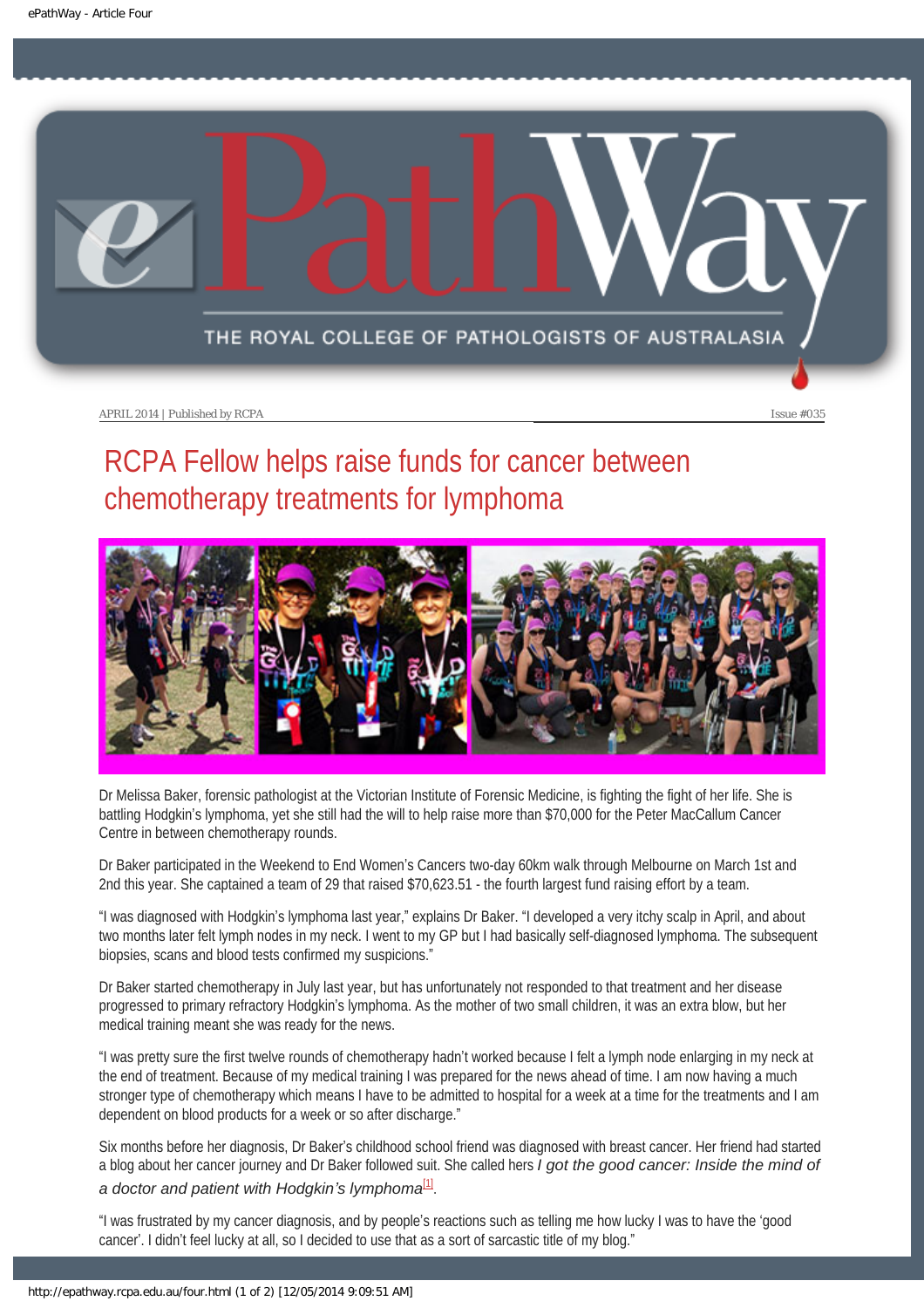<span id="page-12-0"></span>

# RCPA Fellow helps raise funds for cancer between chemotherapy treatments for lymphoma



Dr Melissa Baker, forensic pathologist at the Victorian Institute of Forensic Medicine, is fighting the fight of her life. She is battling Hodgkin's lymphoma, yet she still had the will to help raise more than \$70,000 for the Peter MacCallum Cancer Centre in between chemotherapy rounds.

Dr Baker participated in the Weekend to End Women's Cancers two-day 60km walk through Melbourne on March 1st and 2nd this year. She captained a team of 29 that raised \$70,623.51 - the fourth largest fund raising effort by a team.

"I was diagnosed with Hodgkin's lymphoma last year," explains Dr Baker. "I developed a very itchy scalp in April, and about two months later felt lymph nodes in my neck. I went to my GP but I had basically self-diagnosed lymphoma. The subsequent biopsies, scans and blood tests confirmed my suspicions."

Dr Baker started chemotherapy in July last year, but has unfortunately not responded to that treatment and her disease progressed to primary refractory Hodgkin's lymphoma. As the mother of two small children, it was an extra blow, but her medical training meant she was ready for the news.

"I was pretty sure the first twelve rounds of chemotherapy hadn't worked because I felt a lymph node enlarging in my neck at the end of treatment. Because of my medical training I was prepared for the news ahead of time. I am now having a much stronger type of chemotherapy which means I have to be admitted to hospital for a week at a time for the treatments and I am dependent on blood products for a week or so after discharge."

Six months before her diagnosis, Dr Baker's childhood school friend was diagnosed with breast cancer. Her friend had started a blog about her cancer journey and Dr Baker followed suit. She called hers *I got the good cancer: Inside the mind of* 

<span id="page-12-1"></span>*a doctor and patient with Hodgkin's lymphoma*[\[1\]](#page-13-0).

"I was frustrated by my cancer diagnosis, and by people's reactions such as telling me how lucky I was to have the 'good cancer'. I didn't feel lucky at all, so I decided to use that as a sort of sarcastic title of my blog."